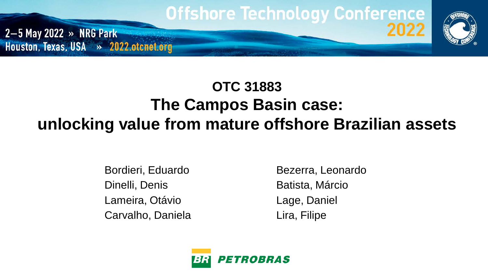

## **OTC 31883 The Campos Basin case: unlocking value from mature offshore Brazilian assets**

Bordieri, Eduardo Dinelli, Denis Lameira, Otávio Carvalho, Daniela Bezerra, Leonardo Batista, Márcio Lage, Daniel Lira, Filipe

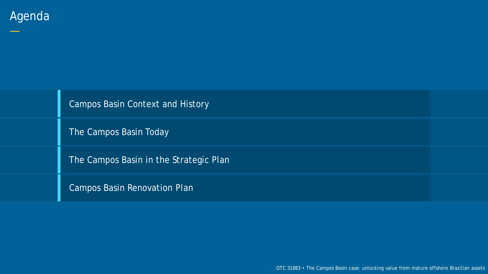—

Campos Basin Context and History

The Campos Basin Today

The Campos Basin in the Strategic Plan

Campos Basin Renovation Plan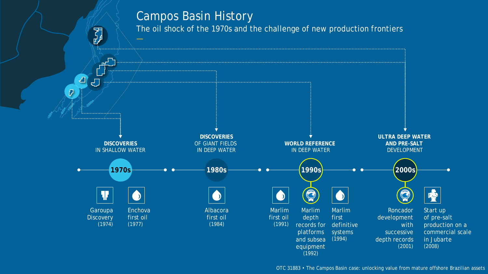#### Campos Basin History

The oil shock of the 1970s and the challenge of new production frontiers

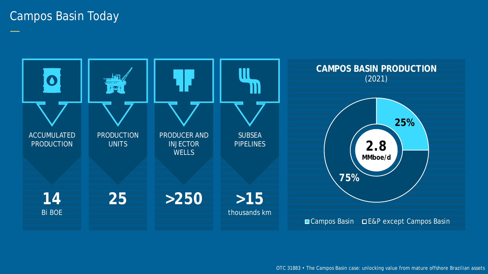#### Campos Basin Today

—

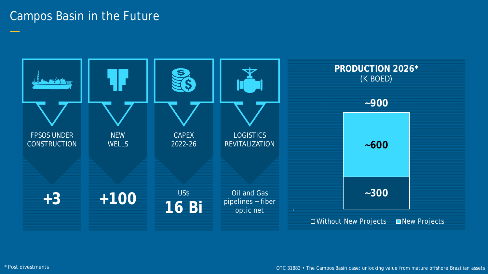#### Campos Basin in the Future



—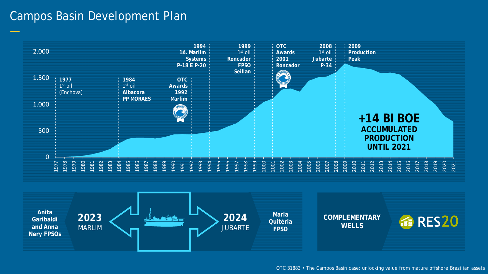#### Campos Basin Development Plan



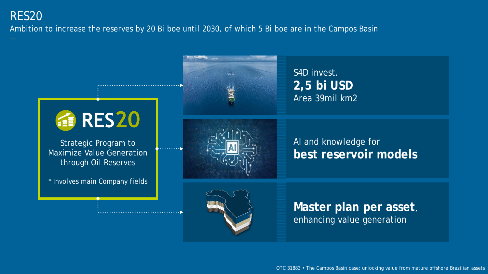#### RES20

Ambition to increase the reserves by 20 Bi boe until 2030, of which 5 Bi boe are in the Campos Basin

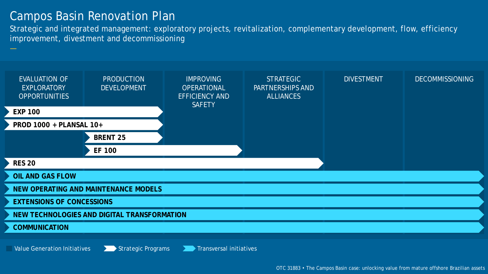#### Campos Basin Renovation Plan

Strategic and integrated management: exploratory projects, revitalization, complementary development, flow, efficiency improvement, divestment and decommissioning

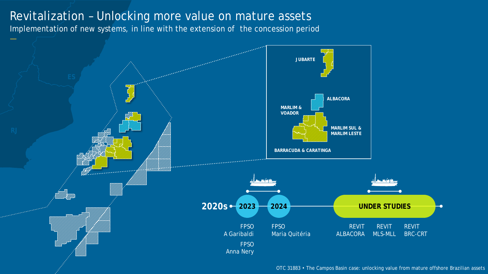#### Revitalization – Unlocking more value on mature assets

Implementation of new systems, in line with the extension of the concession period

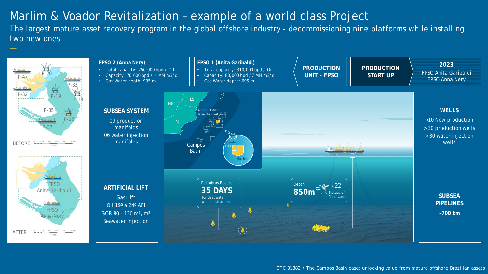#### Marlim & Voador Revitalization – example of a world class Project

The largest mature asset recovery program in the global offshore industry - decommissioning nine platforms while installing two new ones

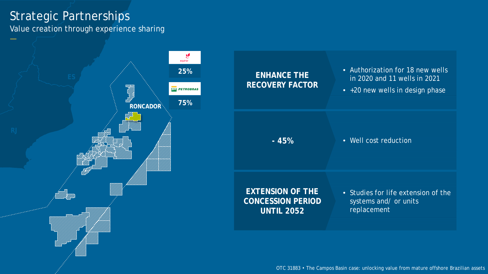#### Strategic Partnerships

Value creation through experience sharing

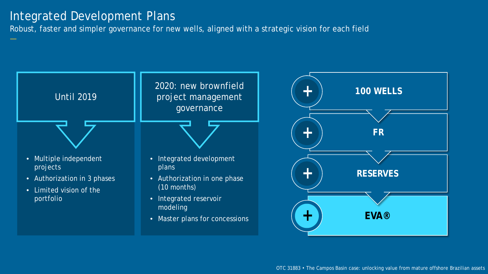#### Integrated Development Plans

Robust, faster and simpler governance for new wells, aligned with a strategic vision for each field

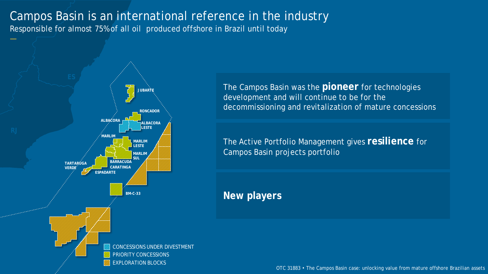### Campos Basin is an international reference in the industry

Responsible for almost 75% of all oil produced offshore in Brazil until today



The Campos Basin was the **pioneer** for technologies development and will continue to be for the decommissioning and revitalization of mature concessions

The Active Portfolio Management gives **resilience** for Campos Basin projects portfolio

**New players**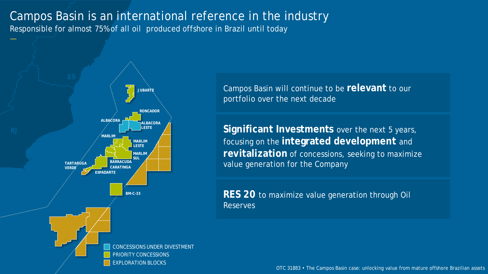### Campos Basin is an international reference in the industry

Responsible for almost 75% of all oil produced offshore in Brazil until today



Campos Basin will continue to be **relevant** to our portfolio over the next decade

**Significant Investments** over the next 5 years, focusing on the **integrated development** and **revitalization** of concessions, seeking to maximize value generation for the Company

**RES 20** to maximize value generation through Oil Reserves